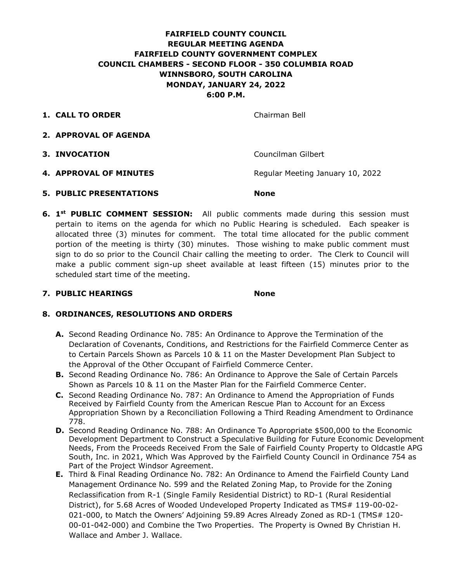# **FAIRFIELD COUNTY COUNCIL REGULAR MEETING AGENDA FAIRFIELD COUNTY GOVERNMENT COMPLEX COUNCIL CHAMBERS - SECOND FLOOR - 350 COLUMBIA ROAD WINNSBORO, SOUTH CAROLINA MONDAY, JANUARY 24, 2022 6:00 P.M.**

**1. CALL TO ORDER** Chairman Bell

- **2. APPROVAL OF AGENDA**
- **3. INVOCATION** Councilman Gilbert
- **4. APPROVAL OF MINUTES** Regular Meeting January 10, 2022

- **5. PUBLIC PRESENTATIONS None**
- **6. 1<sup>st</sup> PUBLIC COMMENT SESSION:** All public comments made during this session must pertain to items on the agenda for which no Public Hearing is scheduled. Each speaker is allocated three (3) minutes for comment. The total time allocated for the public comment portion of the meeting is thirty (30) minutes. Those wishing to make public comment must sign to do so prior to the Council Chair calling the meeting to order. The Clerk to Council will make a public comment sign-up sheet available at least fifteen (15) minutes prior to the scheduled start time of the meeting.

#### **7. PUBLIC HEARINGS None**

## **8. ORDINANCES, RESOLUTIONS AND ORDERS**

- **A.** Second Reading Ordinance No. 785: An Ordinance to Approve the Termination of the Declaration of Covenants, Conditions, and Restrictions for the Fairfield Commerce Center as to Certain Parcels Shown as Parcels 10 & 11 on the Master Development Plan Subject to the Approval of the Other Occupant of Fairfield Commerce Center.
- **B.** Second Reading Ordinance No. 786: An Ordinance to Approve the Sale of Certain Parcels Shown as Parcels 10 & 11 on the Master Plan for the Fairfield Commerce Center.
- **C.** Second Reading Ordinance No. 787: An Ordinance to Amend the Appropriation of Funds Received by Fairfield County from the American Rescue Plan to Account for an Excess Appropriation Shown by a Reconciliation Following a Third Reading Amendment to Ordinance 778.
- **D.** Second Reading Ordinance No. 788: An Ordinance To Appropriate \$500,000 to the Economic Development Department to Construct a Speculative Building for Future Economic Development Needs, From the Proceeds Received From the Sale of Fairfield County Property to Oldcastle APG South, Inc. in 2021, Which Was Approved by the Fairfield County Council in Ordinance 754 as Part of the Project Windsor Agreement.
- **E.** Third & Final Reading Ordinance No. 782: An Ordinance to Amend the Fairfield County Land Management Ordinance No. 599 and the Related Zoning Map, to Provide for the Zoning Reclassification from R-1 (Single Family Residential District) to RD-1 (Rural Residential District), for 5.68 Acres of Wooded Undeveloped Property Indicated as TMS# 119-00-02-021-000, to Match the Owners' Adjoining 59.89 Acres Already Zoned as RD-1 (TMS# 120- 00-01-042-000) and Combine the Two Properties. The Property is Owned By Christian H. Wallace and Amber J. Wallace.